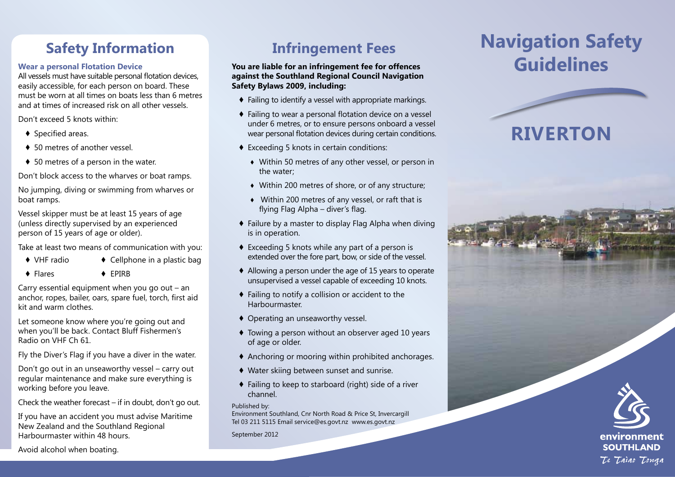# **Safety Information**

### **Wear a personal Flotation Device**

All vessels must have suitable personal flotation devices, easily accessible, for each person on board. These must be worn at all times on boats less than 6 metres and at times of increased risk on all other vessels.

Don't exceed 5 knots within:

- ♦ Specified areas.
- ♦ 50 metres of another vessel.
- ♦ 50 metres of a person in the water.

Don't block access to the wharves or boat ramps.

No jumping, diving or swimming from wharves or boat ramps.

Vessel skipper must be at least 15 years of age (unless directly supervised by an experienced person of 15 years of age or older).

Take at least two means of communication with you:

- $\bullet$  VHF radio  $\bullet$  Cellphone in a plastic bag
- ♦ Flares ♦ EPIRB

Carry essential equipment when you go out – an anchor, ropes, bailer, oars, spare fuel, torch, first aid kit and warm clothes.

Let someone know where you're going out and when you'll be back. Contact Bluff Fishermen's Radio on VHF Ch 61.

Fly the Diver's Flag if you have a diver in the water.

Don't go out in an unseaworthy vessel – carry out regular maintenance and make sure everything is working before you leave.

Check the weather forecast – if in doubt, don't go out.

If you have an accident you must advise Maritime New Zealand and the Southland Regional Harbourmaster within 48 hours.

## **Infringement Fees**

### **You are liable for an infringement fee for offences against the Southland Regional Council Navigation Safety Bylaws 2009, including:**

- ♦ Failing to identify a vessel with appropriate markings.
- ♦ Failing to wear a personal flotation device on a vessel under 6 metres, or to ensure persons onboard a vessel wear personal flotation devices during certain conditions.
- ♦ Exceeding 5 knots in certain conditions:
	- ♦ Within 50 metres of any other vessel, or person in the water;
	- ♦ Within 200 metres of shore, or of any structure;
	- ♦ Within 200 metres of any vessel, or raft that is flying Flag Alpha – diver's flag.
- ♦ Failure by a master to display Flag Alpha when diving is in operation.
- ♦ Exceeding 5 knots while any part of a person is extended over the fore part, bow, or side of the vessel.
- ♦ Allowing a person under the age of 15 years to operate unsupervised a vessel capable of exceeding 10 knots.
- ♦ Failing to notify a collision or accident to the Harbourmaster.
- ♦ Operating an unseaworthy vessel.
- ♦ Towing a person without an observer aged 10 years of age or older.
- ♦ Anchoring or mooring within prohibited anchorages.
- ♦ Water skiing between sunset and sunrise.
- ♦ Failing to keep to starboard (right) side of a river channel.

### Published by:

Environment Southland, Cnr North Road & Price St, Invercargill Tel 03 211 5115 Email service@es.govt.nz www.es.govt.nz

September 2012

# **Navigation Safety Guidelines**

# **RIVERTON**



Avoid alcohol when boating.